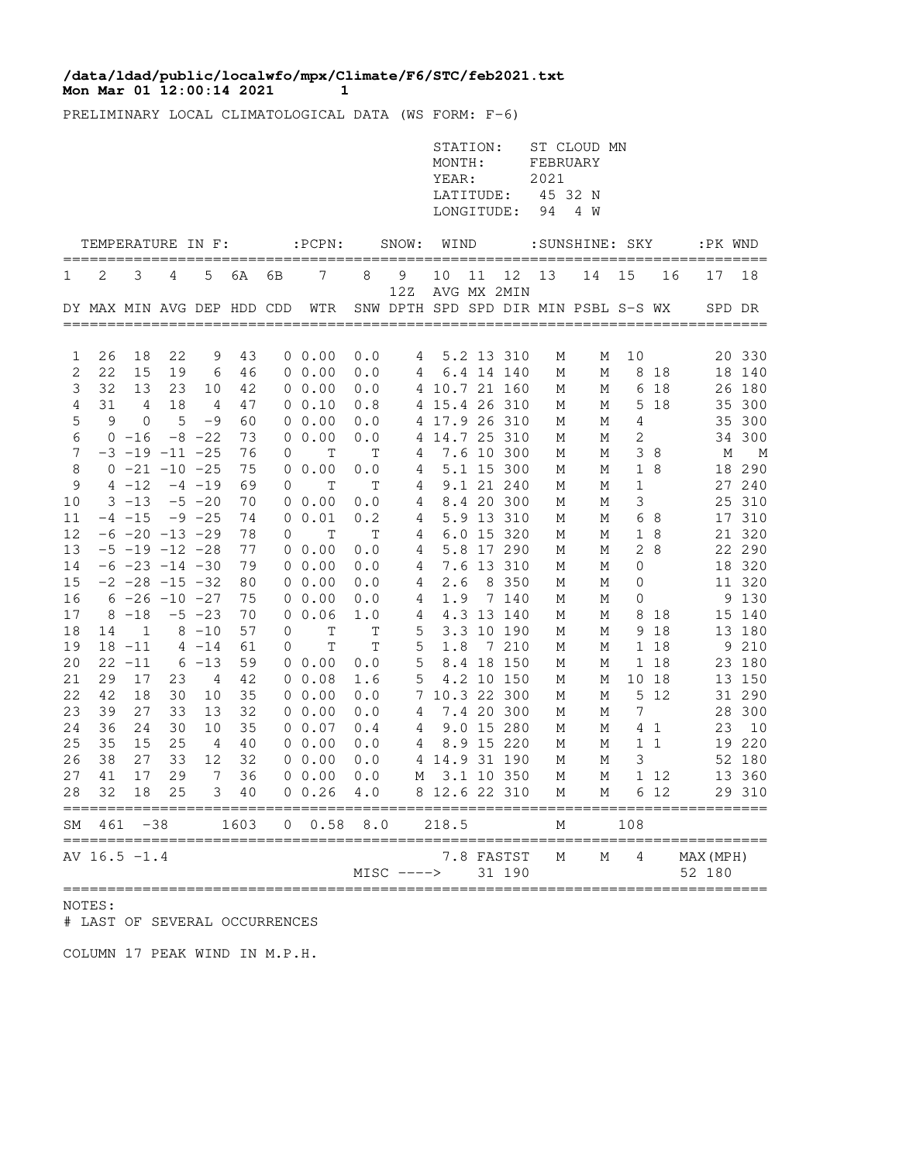## **Mon Mar 01 12:00:14 2021 11 /data/ldad/public/localwfo/mpx/Climate/F6/STC/feb2021.txt**

PRELIMINARY LOCAL CLIMATOLOGICAL DATA (WS FORM: F-6)

|          |                            |                        |          |                       |          |              |                                                     |                    |                                      | STATION:<br>MONTH:<br>YEAR:<br>LATITUDE:<br>LONGITUDE: |    |                          | FEBRUARY<br>2021<br>45 32 N<br>94 | ST CLOUD MN<br>4 W               |                  |              |                        |                  |
|----------|----------------------------|------------------------|----------|-----------------------|----------|--------------|-----------------------------------------------------|--------------------|--------------------------------------|--------------------------------------------------------|----|--------------------------|-----------------------------------|----------------------------------|------------------|--------------|------------------------|------------------|
|          |                            |                        |          |                       |          |              | TEMPERATURE IN F: :PCPN:                            |                    | SNOW: WIND                           |                                                        |    |                          |                                   |                                  |                  |              | :SUNSHINE: SKY :PK WND |                  |
| 1        | 2                          | 3                      | 4        | 5                     | 6A       | 6В           | 7                                                   | 8                  | 9<br>12Z                             | 10<br>AVG MX 2MIN                                      | 11 | 12                       | 13                                | 14                               | 15               | 16           | 17                     | 18               |
|          | DY MAX MIN AVG DEP HDD CDD |                        |          |                       |          |              | WTR                                                 |                    | SNW DPTH SPD SPD DIR MIN PSBL S-S WX |                                                        |    |                          |                                   |                                  |                  |              | SPD DR                 |                  |
|          |                            |                        |          |                       |          |              |                                                     |                    |                                      |                                                        |    |                          |                                   |                                  |                  |              |                        |                  |
| 1        | 26                         | 18                     | 22       | 9                     | 43       |              | $0\;\;0.00$                                         | 0.0                | 4                                    |                                                        |    | 5.2 13 310               | М                                 | М                                | 10               |              |                        | 20 330           |
| 2        | 22                         | 15                     | 19       | 6                     | 46       |              | $0\;\;0.00$                                         | 0.0                | 4                                    |                                                        |    | 6.4 14 140               | М                                 | М                                |                  | 8 18         |                        | 18 140           |
| 3        | 32                         | 13                     | 23       | 10                    | 42       |              | $0\;\;0.00$                                         | 0.0                |                                      | 4 10.7 21 160                                          |    |                          | М                                 | М                                |                  | 6 18         |                        | 26 180           |
| 4        | 31                         | $\overline{4}$         | 18       | $\overline{4}$        | 47       |              | 0 0.10                                              | 0.8                |                                      | 4 15.4 26 310                                          |    |                          | М                                 | М                                |                  | 5 18         |                        | 35 300           |
| 5        | 9                          | $\mathbf 0$            | 5        | $-9$                  | 60       |              | $0\;\;0.00$                                         | 0.0                |                                      | 4 17.9 26 310                                          |    |                          | М                                 | М                                | 4                |              |                        | 35 300           |
| 6        |                            | $0 - 16$               |          | $-8$ $-22$            | 73       |              | $0\;\;0.00$                                         | 0.0                | 4                                    | 14.7 25 310                                            |    |                          | М                                 | М                                | 2                |              |                        | 34 300           |
| 7        |                            | $-3$ $-19$ $-11$ $-25$ |          |                       | 76       | 0            | T                                                   | T                  | 4                                    |                                                        |    | 7.6 10 300               | М                                 | М                                |                  | 38           | М                      | M                |
| 8        |                            | $0 -21 -10 -25$        |          |                       | 75       |              | $0\;\;0.00$                                         | 0.0                | 4                                    |                                                        |    | 5.1 15 300               | М                                 | М                                | $\mathbf{1}$     | 8            |                        | 18 290           |
| 9<br>10  |                            | $4 - 12$<br>$3 - 13$   |          | $-4 - 19$<br>$-5 -20$ | 69<br>70 | $\mathbf{0}$ | T<br>$0\;\;0.00$                                    | $\mathbf T$<br>0.0 | 4<br>4                               |                                                        |    | 9.1 21 240<br>8.4 20 300 | М<br>М                            | М<br>М                           | $\mathbf 1$<br>3 |              |                        | 27 240<br>25 310 |
| 11       |                            | $-4$ $-15$             |          | $-9$ $-25$            | 74       |              | 0 0.01                                              | 0.2                | 4                                    |                                                        |    | 5.9 13 310               | М                                 | М                                |                  | 6 8          |                        | 17 310           |
| 12       |                            | $-6$ $-20$ $-13$ $-29$ |          |                       | 78       | $\Omega$     | T                                                   | T                  | 4                                    |                                                        |    | 6.0 15 320               | М                                 | М                                | $\mathbf 1$      | 8            |                        | 21 320           |
| 13       |                            | $-5$ $-19$ $-12$ $-28$ |          |                       | 77       |              | $0\;\;0.00$                                         | 0.0                | 4                                    |                                                        |    | 5.8 17 290               | М                                 | М                                |                  | 28           |                        | 22 290           |
| 14       |                            | $-6$ $-23$ $-14$ $-30$ |          |                       | 79       |              | $0\;\;0.00$                                         | 0.0                | 4                                    |                                                        |    | 7.6 13 310               | М                                 | М                                | $\mathbf 0$      |              |                        | 18 320           |
| 15       |                            | $-2$ $-28$ $-15$ $-32$ |          |                       | 80       |              | $0\;\;0.00$                                         | 0.0                | 4                                    | 2.6                                                    |    | 8 350                    | М                                 | М                                | 0                |              |                        | 11 320           |
| 16       |                            | $6 - 26 - 10 - 27$     |          |                       | 75       |              | $0\;\;0.00$                                         | 0.0                | 4                                    | 1.9                                                    |    | 7 140                    | М                                 | М                                | $\mathbf{0}$     |              |                        | 9 130            |
| 17       |                            | $8 - 18$               |          | $-5 -23$              | 70       |              | 0, 0.06                                             | 1.0                | 4                                    |                                                        |    | 4.3 13 140               | М                                 | М                                |                  | 8 18         |                        | 15 140           |
| 18       | 14                         | $\mathbf{1}$           |          | $8 - 10$              | 57       | $\mathbf{0}$ | T                                                   | $\mathbf T$        | 5                                    |                                                        |    | 3.3 10 190               | М                                 | М                                |                  | 9 18         |                        | 13 180           |
| 19       |                            | $18 - 11$              |          | $4 - 14$              | 61       | 0            | Т                                                   | T                  | 5                                    | 1.8                                                    |    | 7 210                    | М                                 | М                                |                  | 1 18         |                        | 9 210            |
| 20       |                            | $22 - 11$              |          | $6 - 13$              | 59       |              | $0\;\;0.00$                                         | 0.0                | 5                                    |                                                        |    | 8.4 18 150               | М                                 | М                                |                  | 1 18         |                        | 23 180           |
| 21       | 29                         | 17                     | 23       | 4                     | 42       |              | 0, 0.08                                             | 1.6                | 5                                    |                                                        |    | 4.2 10 150               | М                                 | М                                |                  | 10 18        |                        | 13 150           |
| 22       | 42                         | 18                     | 30       | 10                    | 35       |              | $0\;\;0.00$                                         | 0.0                |                                      | 7 10.3 22 300                                          |    |                          | М                                 | М                                |                  | 5 12         |                        | 31 290           |
| 23       | 39                         | 27                     | 33       | 13                    | 32       |              | $0\;\;0.00$                                         | 0.0                | 4                                    |                                                        |    | 7.4 20 300               | М                                 | М                                | 7                |              |                        | 28 300           |
| 24       | 36                         | 24                     | 30       | 10                    | 35       |              | $0\;\;0.07$                                         | 0.4                | 4                                    |                                                        |    | 9.0 15 280               | М                                 | М                                |                  | 4 1          | 23                     | 10               |
| 25       | 35                         | 15                     | 25       | 4                     | 40       |              | $0\;\;0.00$                                         | 0.0                | 4                                    |                                                        |    | 8.9 15 220               | М                                 | М                                |                  | $1\quad1$    |                        | 19 220           |
| 26       | 38                         | 27                     | 33       | 12                    | 32       |              | $0\;\;0.00$                                         | 0.0                |                                      | 4 14.9 31 190                                          |    |                          | М                                 | М                                | 3                |              |                        | 52 180           |
| 27<br>28 | 41<br>32                   | 17<br>18               | 29<br>25 | $7\phantom{.0}$<br>3  | 36<br>40 |              | $0\;\;0.00$<br>$0 \t 0.26$                          | 0.0<br>4.0         | М                                    | 8 12.6 22 310                                          |    | 3.1 10 350               | М<br>М                            | М<br>М                           |                  | 1 12<br>6 12 |                        | 13 360<br>29 310 |
| SM       | 461                        | $-38$                  |          |                       | 1603     |              | ====================================<br>$0 \t 0.58$ | $\bf 8.0$          |                                      | 218.5                                                  |    |                          | М                                 |                                  | 108              |              |                        |                  |
|          | AV $16.5 -1.4$             | ========               |          |                       |          |              |                                                     |                    | $MISC$ $---$                         |                                                        |    | 7.8 FASTST<br>31 190     | М                                 | ---------------------------<br>М | 4                |              | MAX (MPH)<br>52 180    |                  |

NOTES:

# LAST OF SEVERAL OCCURRENCES

COLUMN 17 PEAK WIND IN M.P.H.